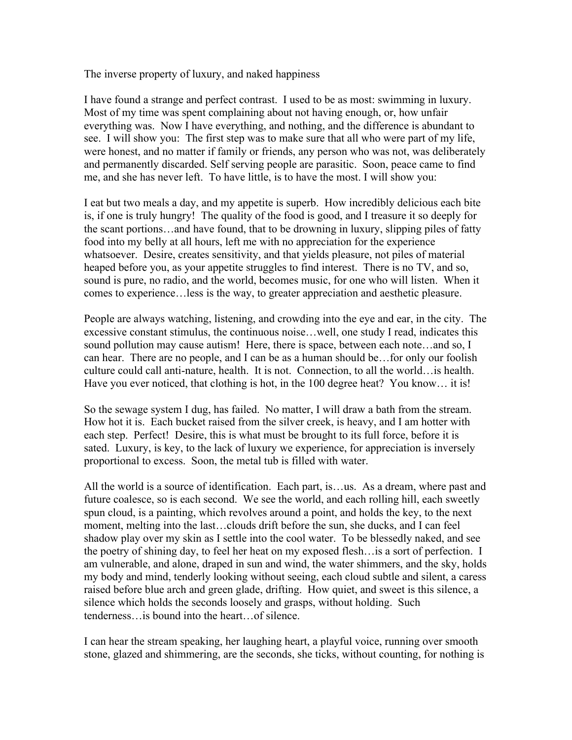The inverse property of luxury, and naked happiness

I have found a strange and perfect contrast. I used to be as most: swimming in luxury. Most of my time was spent complaining about not having enough, or, how unfair everything was. Now I have everything, and nothing, and the difference is abundant to see. I will show you: The first step was to make sure that all who were part of my life, were honest, and no matter if family or friends, any person who was not, was deliberately and permanently discarded. Self serving people are parasitic. Soon, peace came to find me, and she has never left. To have little, is to have the most. I will show you:

I eat but two meals a day, and my appetite is superb. How incredibly delicious each bite is, if one is truly hungry! The quality of the food is good, and I treasure it so deeply for the scant portions…and have found, that to be drowning in luxury, slipping piles of fatty food into my belly at all hours, left me with no appreciation for the experience whatsoever. Desire, creates sensitivity, and that yields pleasure, not piles of material heaped before you, as your appetite struggles to find interest. There is no TV, and so, sound is pure, no radio, and the world, becomes music, for one who will listen. When it comes to experience…less is the way, to greater appreciation and aesthetic pleasure.

People are always watching, listening, and crowding into the eye and ear, in the city. The excessive constant stimulus, the continuous noise…well, one study I read, indicates this sound pollution may cause autism! Here, there is space, between each note...and so, I can hear. There are no people, and I can be as a human should be…for only our foolish culture could call anti-nature, health. It is not. Connection, to all the world…is health. Have you ever noticed, that clothing is hot, in the 100 degree heat? You know... it is!

So the sewage system I dug, has failed. No matter, I will draw a bath from the stream. How hot it is. Each bucket raised from the silver creek, is heavy, and I am hotter with each step. Perfect! Desire, this is what must be brought to its full force, before it is sated. Luxury, is key, to the lack of luxury we experience, for appreciation is inversely proportional to excess. Soon, the metal tub is filled with water.

All the world is a source of identification. Each part, is…us. As a dream, where past and future coalesce, so is each second. We see the world, and each rolling hill, each sweetly spun cloud, is a painting, which revolves around a point, and holds the key, to the next moment, melting into the last…clouds drift before the sun, she ducks, and I can feel shadow play over my skin as I settle into the cool water. To be blessedly naked, and see the poetry of shining day, to feel her heat on my exposed flesh…is a sort of perfection. I am vulnerable, and alone, draped in sun and wind, the water shimmers, and the sky, holds my body and mind, tenderly looking without seeing, each cloud subtle and silent, a caress raised before blue arch and green glade, drifting. How quiet, and sweet is this silence, a silence which holds the seconds loosely and grasps, without holding. Such tenderness…is bound into the heart…of silence.

I can hear the stream speaking, her laughing heart, a playful voice, running over smooth stone, glazed and shimmering, are the seconds, she ticks, without counting, for nothing is